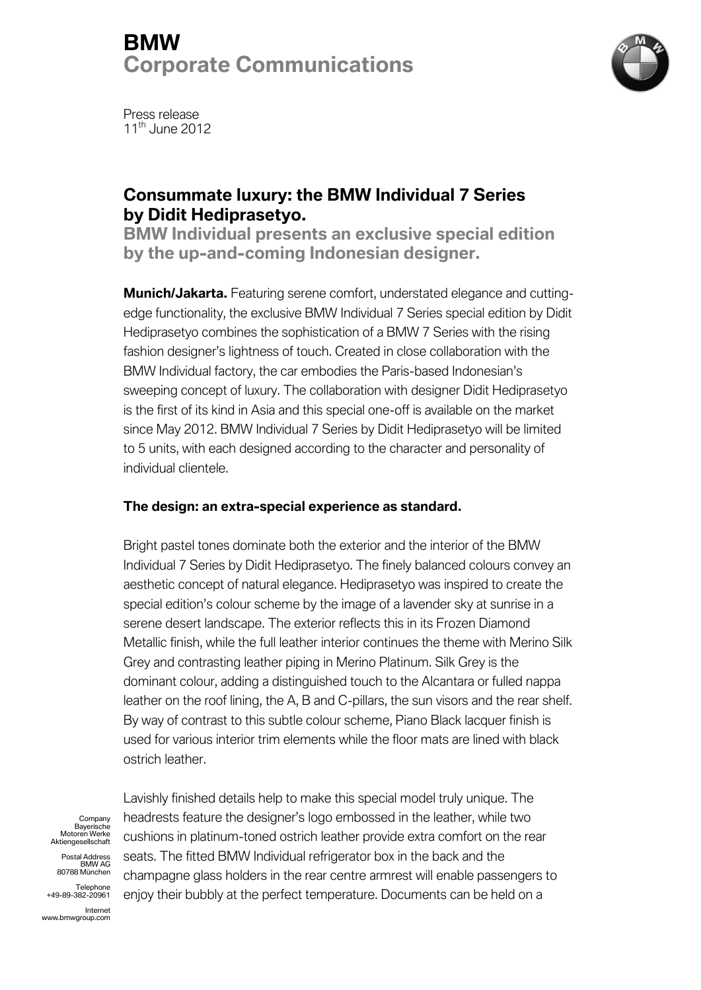# **BMW Corporate Communications**



Press release 11<sup>th</sup> June 2012

## **Consummate luxury: the BMW Individual 7 Series by Didit Hediprasetyo.**

**BMW Individual presents an exclusive special edition by the up-and-coming Indonesian designer.**

**Munich/Jakarta.** Featuring serene comfort, understated elegance and cuttingedge functionality, the exclusive BMW Individual 7 Series special edition by Didit Hediprasetyo combines the sophistication of a BMW 7 Series with the rising fashion designer's lightness of touch. Created in close collaboration with the BMW Individual factory, the car embodies the Paris-based Indonesian's sweeping concept of luxury. The collaboration with designer Didit Hediprasetyo is the first of its kind in Asia and this special one-off is available on the market since May 2012. BMW Individual 7 Series by Didit Hediprasetyo will be limited to 5 units, with each designed according to the character and personality of individual clientele.

### **The design: an extra-special experience as standard.**

Bright pastel tones dominate both the exterior and the interior of the BMW Individual 7 Series by Didit Hediprasetyo. The finely balanced colours convey an aesthetic concept of natural elegance. Hediprasetyo was inspired to create the special edition's colour scheme by the image of a lavender sky at sunrise in a serene desert landscape. The exterior reflects this in its Frozen Diamond Metallic finish, while the full leather interior continues the theme with Merino Silk Grey and contrasting leather piping in Merino Platinum. Silk Grey is the dominant colour, adding a distinguished touch to the Alcantara or fulled nappa leather on the roof lining, the A, B and C-pillars, the sun visors and the rear shelf. By way of contrast to this subtle colour scheme, Piano Black lacquer finish is used for various interior trim elements while the floor mats are lined with black ostrich leather.

Company Bayerische Motoren Werke Aktiengesellschaft

Postal Address BMW AG 80788 München

Telephone +49-89-382-20961

Internet www.bmwgroup.com Lavishly finished details help to make this special model truly unique. The headrests feature the designer's logo embossed in the leather, while two cushions in platinum-toned ostrich leather provide extra comfort on the rear seats. The fitted BMW Individual refrigerator box in the back and the champagne glass holders in the rear centre armrest will enable passengers to enjoy their bubbly at the perfect temperature. Documents can be held on a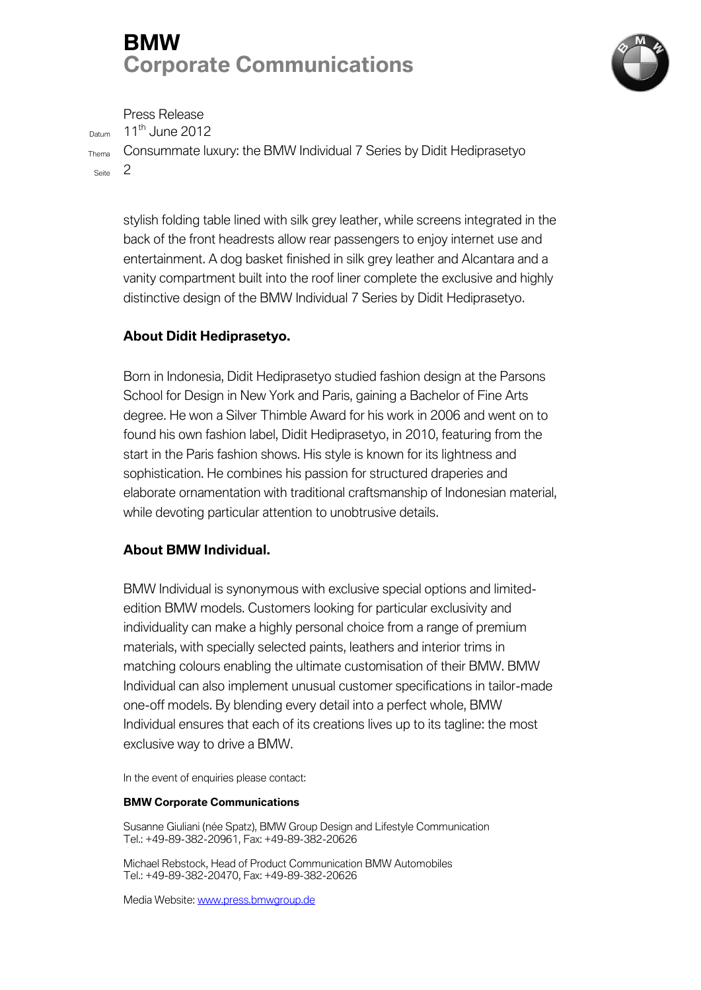# **BMW Corporate Communications**



Press Release

 $D$ atum 11<sup>th</sup> June 2012

Thema Consummate luxury: the BMW Individual 7 Series by Didit Hediprasetyo Seite 2

stylish folding table lined with silk grey leather, while screens integrated in the back of the front headrests allow rear passengers to enjoy internet use and entertainment. A dog basket finished in silk grey leather and Alcantara and a vanity compartment built into the roof liner complete the exclusive and highly distinctive design of the BMW Individual 7 Series by Didit Hediprasetyo.

### **About Didit Hediprasetyo.**

Born in Indonesia, Didit Hediprasetyo studied fashion design at the Parsons School for Design in New York and Paris, gaining a Bachelor of Fine Arts degree. He won a Silver Thimble Award for his work in 2006 and went on to found his own fashion label, Didit Hediprasetyo, in 2010, featuring from the start in the Paris fashion shows. His style is known for its lightness and sophistication. He combines his passion for structured draperies and elaborate ornamentation with traditional craftsmanship of Indonesian material, while devoting particular attention to unobtrusive details.

### **About BMW Individual.**

BMW Individual is synonymous with exclusive special options and limitededition BMW models. Customers looking for particular exclusivity and individuality can make a highly personal choice from a range of premium materials, with specially selected paints, leathers and interior trims in matching colours enabling the ultimate customisation of their BMW. BMW Individual can also implement unusual customer specifications in tailor-made one-off models. By blending every detail into a perfect whole, BMW Individual ensures that each of its creations lives up to its tagline: the most exclusive way to drive a BMW.

In the event of enquiries please contact:

#### **BMW Corporate Communications**

Susanne Giuliani (née Spatz), BMW Group Design and Lifestyle Communication Tel.: +49-89-382-20961, Fax: +49-89-382-20626

Michael Rebstock, Head of Product Communication BMW Automobiles Tel.: +49-89-382-20470, Fax: +49-89-382-20626

Media Website: [www.press.bmwgroup.de](http://www.press.bmwgroup.de/)